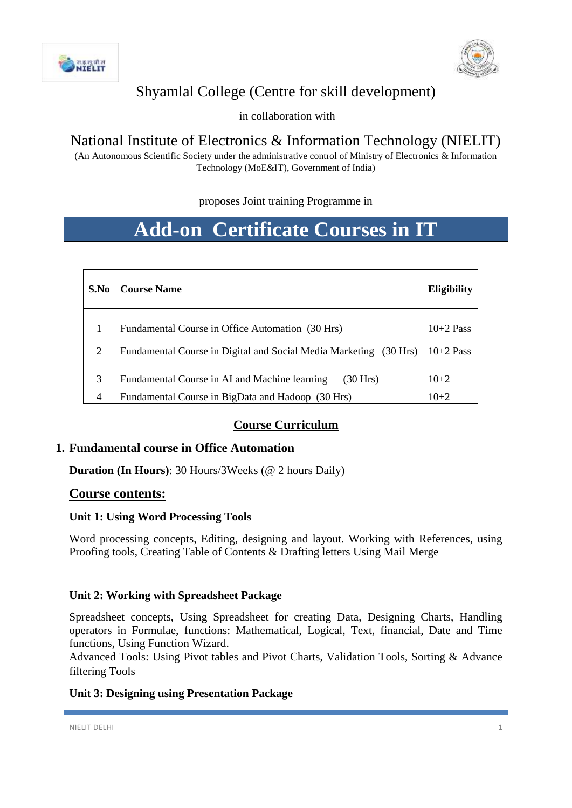



# Shyamlal College (Centre for skill development)

in collaboration with

# National Institute of Electronics & Information Technology (NIELIT)

(An Autonomous Scientific Society under the administrative control of Ministry of Electronics & Information Technology (MoE&IT), Government of India)

# proposes Joint training Programme in

# **Add-on Certificate Courses in IT**

| S.No | <b>Course Name</b>                                                   | <b>Eligibility</b> |
|------|----------------------------------------------------------------------|--------------------|
|      | Fundamental Course in Office Automation (30 Hrs)                     | $10+2$ Pass        |
| 2    | Fundamental Course in Digital and Social Media Marketing<br>(30 Hrs) | $10+2$ Pass        |
| 3    | Fundamental Course in AI and Machine learning<br>(30 Hrs)            | $10+2$             |
|      | Fundamental Course in BigData and Hadoop (30 Hrs)                    | $10 + 2$           |

# **Course Curriculum**

# **1. Fundamental course in Office Automation**

**Duration (In Hours)**: 30 Hours/3Weeks (@ 2 hours Daily)

# **Course contents:**

#### **Unit 1: Using Word Processing Tools**

Word processing concepts, Editing, designing and layout. Working with References, using Proofing tools, Creating Table of Contents & Drafting letters Using Mail Merge

# **Unit 2: Working with Spreadsheet Package**

Spreadsheet concepts, Using Spreadsheet for creating Data, Designing Charts, Handling operators in Formulae, functions: Mathematical, Logical, Text, financial, Date and Time functions, Using Function Wizard.

Advanced Tools: Using Pivot tables and Pivot Charts, Validation Tools, Sorting & Advance filtering Tools

# **Unit 3: Designing using Presentation Package**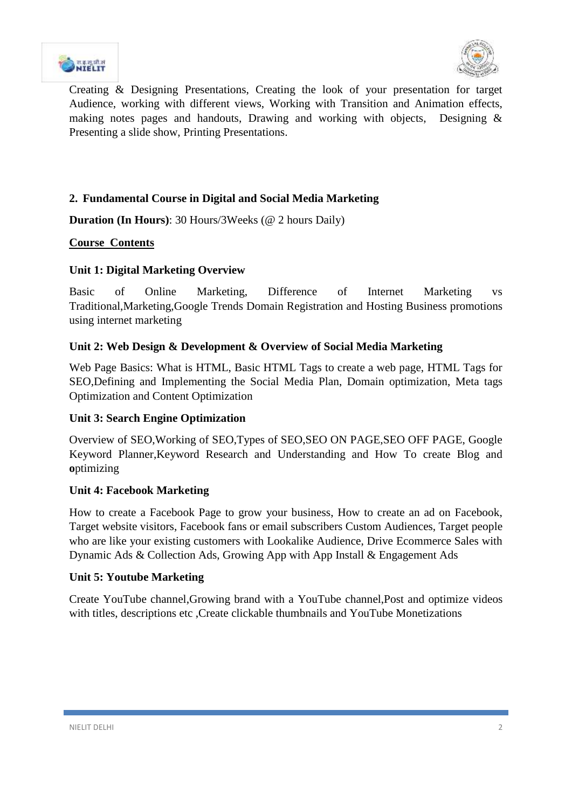



Creating & Designing Presentations, Creating the look of your presentation for target Audience, working with different views, Working with Transition and Animation effects, making notes pages and handouts, Drawing and working with objects, Designing & Presenting a slide show, Printing Presentations.

# **2. Fundamental Course in Digital and Social Media Marketing**

**Duration (In Hours)**: 30 Hours/3Weeks (@ 2 hours Daily)

## **Course Contents**

## **Unit 1: Digital Marketing Overview**

Basic of Online Marketing, Difference of Internet Marketing vs Traditional,Marketing,Google Trends Domain Registration and Hosting Business promotions using internet marketing

## **Unit 2: Web Design & Development & Overview of Social Media Marketing**

Web Page Basics: What is HTML, Basic HTML Tags to create a web page, HTML Tags for SEO,Defining and Implementing the Social Media Plan, Domain optimization, Meta tags Optimization and Content Optimization

#### **Unit 3: Search Engine Optimization**

Overview of SEO,Working of SEO,Types of SEO,SEO ON PAGE,SEO OFF PAGE, Google Keyword Planner,Keyword Research and Understanding and How To create Blog and **o**ptimizing

#### **Unit 4: Facebook Marketing**

How to create a Facebook Page to grow your business, How to create an ad on Facebook, Target website visitors, Facebook fans or email subscribers Custom Audiences, Target people who are like your existing customers with Lookalike Audience, Drive Ecommerce Sales with Dynamic Ads & Collection Ads, Growing App with App Install & Engagement Ads

#### **Unit 5: Youtube Marketing**

Create YouTube channel,Growing brand with a YouTube channel,Post and optimize videos with titles, descriptions etc ,Create clickable thumbnails and YouTube Monetizations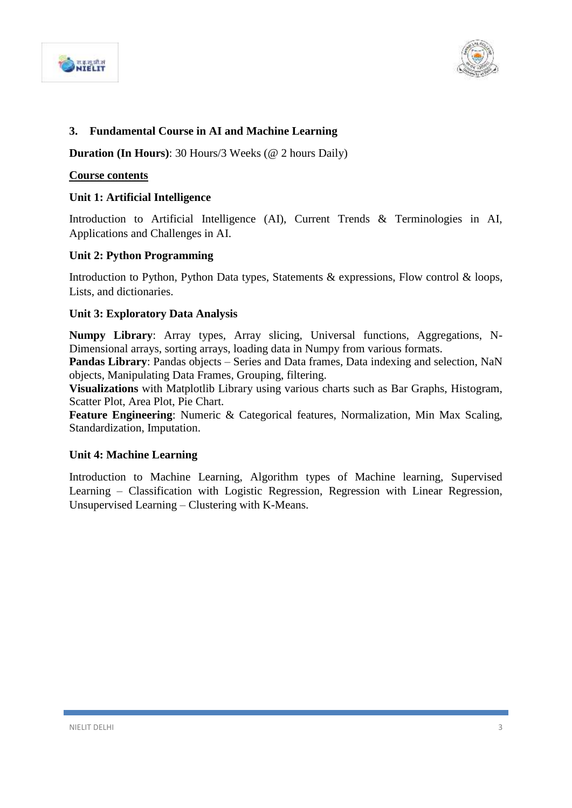



## **3. Fundamental Course in AI and Machine Learning**

**Duration (In Hours)**: 30 Hours/3 Weeks (@ 2 hours Daily)

#### **Course contents**

#### **Unit 1: Artificial Intelligence**

Introduction to Artificial Intelligence (AI), Current Trends & Terminologies in AI, Applications and Challenges in AI.

#### **Unit 2: Python Programming**

Introduction to Python, Python Data types, Statements & expressions, Flow control & loops, Lists, and dictionaries.

#### **Unit 3: Exploratory Data Analysis**

**Numpy Library**: Array types, Array slicing, Universal functions, Aggregations, N-Dimensional arrays, sorting arrays, loading data in Numpy from various formats.

**Pandas Library**: Pandas objects – Series and Data frames, Data indexing and selection, NaN objects, Manipulating Data Frames, Grouping, filtering.

**Visualizations** with Matplotlib Library using various charts such as Bar Graphs, Histogram, Scatter Plot, Area Plot, Pie Chart.

**Feature Engineering**: Numeric & Categorical features, Normalization, Min Max Scaling, Standardization, Imputation.

#### **Unit 4: Machine Learning**

Introduction to Machine Learning, Algorithm types of Machine learning, Supervised Learning – Classification with Logistic Regression, Regression with Linear Regression, Unsupervised Learning – Clustering with K-Means.